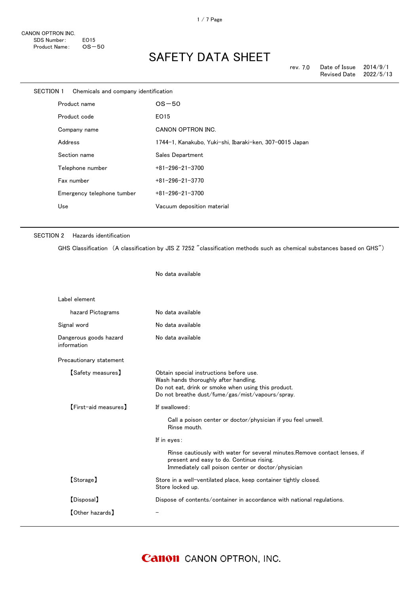| SECTION 1 |         | Chemicals and company identification |                                                         |
|-----------|---------|--------------------------------------|---------------------------------------------------------|
|           |         | Product name                         | $OS-50$                                                 |
|           |         | Product code                         | EO15                                                    |
|           |         | Company name                         | CANON OPTRON INC.                                       |
|           | Address |                                      | 1744-1, Kanakubo, Yuki-shi, Ibaraki-ken, 307-0015 Japan |
|           |         | Section name                         | Sales Department                                        |
|           |         | Telephone number                     | $+81 - 296 - 21 - 3700$                                 |
|           |         | Fax number                           | $+81 - 296 - 21 - 3770$                                 |
|           |         | Emergency telephone tumber           | $+81 - 296 - 21 - 3700$                                 |
|           | Use     |                                      | Vacuum deposition material                              |
|           |         |                                      |                                                         |

No data available

#### SECTION 2 Hazards identification

GHS Classification (A classification by JIS Z 7252 "classification methods such as chemical substances based on GHS")

| Label element                         |                                                                                                                                                                                             |
|---------------------------------------|---------------------------------------------------------------------------------------------------------------------------------------------------------------------------------------------|
| hazard Pictograms                     | No data available                                                                                                                                                                           |
| Signal word                           | No data available                                                                                                                                                                           |
| Dangerous goods hazard<br>information | No data available                                                                                                                                                                           |
| Precautionary statement               |                                                                                                                                                                                             |
| [Safety measures]                     | Obtain special instructions before use.<br>Wash hands thoroughly after handling.<br>Do not eat, drink or smoke when using this product.<br>Do not breathe dust/fume/gas/mist/vapours/spray. |
| [First-aid measures]                  | If swallowed:                                                                                                                                                                               |
|                                       | Call a poison center or doctor/physician if you feel unwell.<br>Rinse mouth.                                                                                                                |
|                                       | If in eyes:                                                                                                                                                                                 |
|                                       | Rinse cautiously with water for several minutes. Remove contact lenses, if<br>present and easy to do. Continue rising.<br>Immediately call poison center or doctor/physician                |
| [Storage]                             | Store in a well-ventilated place, keep container tightly closed.<br>Store locked up.                                                                                                        |
| [Disposal]                            | Dispose of contents/container in accordance with national regulations.                                                                                                                      |
| <b>[Other hazards]</b>                |                                                                                                                                                                                             |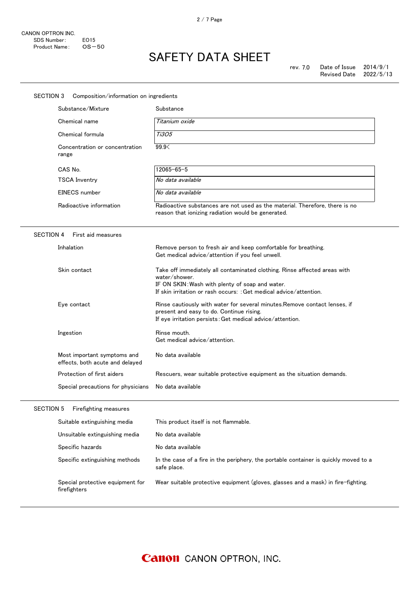| SECTION 3<br>Composition/information on ingredients            |                                                                                                                                                                                                                     |  |  |
|----------------------------------------------------------------|---------------------------------------------------------------------------------------------------------------------------------------------------------------------------------------------------------------------|--|--|
| Substance/Mixture                                              | Substance                                                                                                                                                                                                           |  |  |
| Chemical name                                                  | Titanium oxide                                                                                                                                                                                                      |  |  |
| Chemical formula                                               | <i>Ti3O5</i>                                                                                                                                                                                                        |  |  |
| Concentration or concentration<br>range                        | 99.9<                                                                                                                                                                                                               |  |  |
| CAS No.                                                        | $12065 - 65 - 5$                                                                                                                                                                                                    |  |  |
| <b>TSCA Inventry</b>                                           | No data available                                                                                                                                                                                                   |  |  |
| <b>EINECS</b> number                                           | No data available                                                                                                                                                                                                   |  |  |
| Radioactive information                                        | Radioactive substances are not used as the material. Therefore, there is no<br>reason that ionizing radiation would be generated.                                                                                   |  |  |
| <b>SECTION 4</b><br>First aid measures                         |                                                                                                                                                                                                                     |  |  |
| Inhalation                                                     | Remove person to fresh air and keep comfortable for breathing.<br>Get medical advice/attention if you feel unwell.                                                                                                  |  |  |
| Skin contact                                                   | Take off immediately all contaminated clothing. Rinse affected areas with<br>water/shower.<br>IF ON SKIN: Wash with plenty of soap and water.<br>If skin irritation or rash occurs: : Get medical advice/attention. |  |  |
| Eye contact                                                    | Rinse cautiously with water for several minutes. Remove contact lenses, if<br>present and easy to do. Continue rising.<br>If eye irritation persists: Get medical advice/attention.                                 |  |  |
| Ingestion                                                      | Rinse mouth.<br>Get medical advice/attention.                                                                                                                                                                       |  |  |
| Most important symptoms and<br>effects, both acute and delayed | No data available                                                                                                                                                                                                   |  |  |
| Protection of first aiders                                     | Rescuers, wear suitable protective equipment as the situation demands.                                                                                                                                              |  |  |
| Special precautions for physicians                             | No data available                                                                                                                                                                                                   |  |  |
| <b>SECTION 5</b><br>Firefighting measures                      |                                                                                                                                                                                                                     |  |  |
| Suitable extinguishing media                                   | This product itself is not flammable.                                                                                                                                                                               |  |  |
| Unsuitable extinguishing media                                 | No data available                                                                                                                                                                                                   |  |  |
| Specific hazards                                               | No data available                                                                                                                                                                                                   |  |  |
| Specific extinguishing methods                                 | In the case of a fire in the periphery, the portable container is quickly moved to a<br>safe place.                                                                                                                 |  |  |
| Special protective equipment for<br>firefighters               | Wear suitable protective equipment (gloves, glasses and a mask) in fire-fighting.                                                                                                                                   |  |  |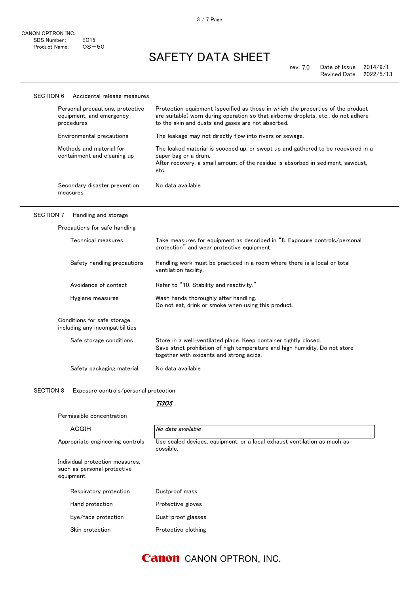#### SECTION 6 Accidental release measures Personal precautions, protective equipment, and emergency procedures Protection equipment (specified as those in which the properties of the product are suitable) worn during operation so that airborne droplets, etc., do not adhere to the skin and dusts and gases are not absorbed. Environmental precautions The leakage may not directly flow into rivers or sewage. Methods and material for containment and cleaning up The leaked material is scooped up, or swept up and gathered to be recovered in a paper bag or a drum. After recovery, a small amount of the residue is absorbed in sediment, sawdust, etc. Secondary disaster prevention measures No data available

#### SECTION 7 Handling and storage

| Precautions for safe handling                                   |                                                                                                                                                                                             |  |  |  |
|-----------------------------------------------------------------|---------------------------------------------------------------------------------------------------------------------------------------------------------------------------------------------|--|--|--|
| Technical measures                                              | Take measures for equipment as described in "8. Exposure controls/personal<br>protection" and wear protective equipment.                                                                    |  |  |  |
| Safety handling precautions                                     | Handling work must be practiced in a room where there is a local or total<br>ventilation facility.                                                                                          |  |  |  |
| Avoidance of contact                                            | Refer to "10. Stability and reactivity."                                                                                                                                                    |  |  |  |
| Hygiene measures                                                | Wash hands thoroughly after handling.<br>Do not eat, drink or smoke when using this product.                                                                                                |  |  |  |
| Conditions for safe storage,<br>including any incompatibilities |                                                                                                                                                                                             |  |  |  |
| Safe storage conditions                                         | Store in a well-ventilated place. Keep container tightly closed.<br>Save strict prohibition of high temperature and high humidity. Do not store<br>together with oxidants and strong acids. |  |  |  |
| Safety packaging material                                       | No data available                                                                                                                                                                           |  |  |  |

SECTION 8 Exposure controls/personal protection

Permissible concentration

#### Ti3O5

| ACGIH                                                                       | No data available                                                                     |
|-----------------------------------------------------------------------------|---------------------------------------------------------------------------------------|
| Appropriate engineering controls                                            | Use sealed devices, equipment, or a local exhaust ventilation as much as<br>possible. |
| Individual protection measures,<br>such as personal protective<br>equipment |                                                                                       |
| Respiratory protection                                                      | Dustproof mask                                                                        |
| Hand protection                                                             | Protective gloves                                                                     |
| Eye/face protection                                                         | Dust-proof glasses                                                                    |
| Skin protection                                                             | Protective clothing                                                                   |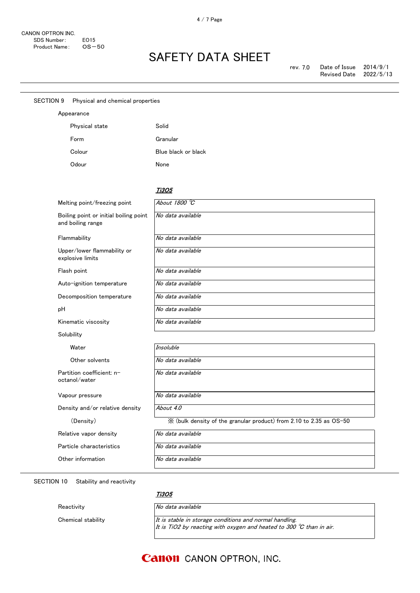| <b>SECTION 9</b> | Physical and chemical properties                            |                                                                     |
|------------------|-------------------------------------------------------------|---------------------------------------------------------------------|
| Appearance       |                                                             |                                                                     |
|                  | Physical state                                              | Solid                                                               |
|                  | Form                                                        | Granular                                                            |
|                  | Colour                                                      | Blue black or black                                                 |
|                  | Odour                                                       | None                                                                |
|                  |                                                             |                                                                     |
|                  |                                                             | <b>Ti305</b>                                                        |
|                  | Melting point/freezing point                                | About 1800 °C                                                       |
|                  | Boiling point or initial boiling point<br>and boiling range | No data available                                                   |
|                  | Flammability                                                | No data available                                                   |
|                  | Upper/lower flammability or<br>explosive limits             | No data available                                                   |
|                  | Flash point                                                 | No data available                                                   |
|                  | Auto-ignition temperature                                   | No data available                                                   |
|                  | Decomposition temperature                                   | No data available                                                   |
| pH               |                                                             | No data available                                                   |
|                  | Kinematic viscosity                                         | No data available                                                   |
|                  | Solubility                                                  |                                                                     |
|                  | Water                                                       | Insoluble                                                           |
|                  | Other solvents                                              | No data available                                                   |
|                  | Partition coefficient: n-<br>octanol/water                  | No data available                                                   |
|                  | Vapour pressure                                             | No data available                                                   |
|                  | Density and/or relative density                             | About 4.0                                                           |
|                  | (Density)                                                   | X (bulk density of the granular product) from 2.10 to 2.35 as OS-50 |
|                  | Relative vapor density                                      | No data available                                                   |
|                  | Particle characteristics                                    | No data available                                                   |
|                  | Other information                                           | No data available                                                   |
|                  |                                                             |                                                                     |

SECTION 10 Stability and reactivity

Ti3O5

Reactivity **No data available** 

Chemical stability  $I$ t is stable in storage conditions and normal handling. It is TiO2 by reacting with oxygen and heated to 300  $^\circ\!{\rm C}$  than in air.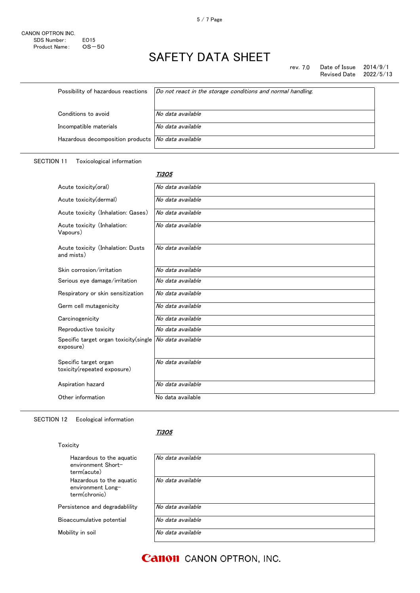rev. 7.0 Date of Issue 2014/9/1<br>Revised Date 2022/5/13 Revised Date

| Possibility of hazardous reactions                        | Do not react in the storage conditions and normal handling. |
|-----------------------------------------------------------|-------------------------------------------------------------|
| Conditions to avoid                                       | No data available                                           |
| Incompatible materials                                    | No data available                                           |
| Hazardous decomposition products <i>No data available</i> |                                                             |

#### SECTION 11 Toxicological information

#### Ti3O5

| Acute toxicity(oral)                                 | No data available |
|------------------------------------------------------|-------------------|
| Acute toxicity (dermal)                              | No data available |
| Acute toxicity (Inhalation: Gases)                   | No data available |
| Acute toxicity (Inhalation:<br>Vapours)              | No data available |
| Acute toxicity (Inhalation: Dusts<br>and mists)      | No data available |
| Skin corrosion/irritation                            | No data available |
| Serious eye damage/irritation                        | No data available |
| Respiratory or skin sensitization                    | No data available |
| Germ cell mutagenicity                               | No data available |
| Carcinogenicity                                      | No data available |
| Reproductive toxicity                                | No data available |
| Specific target organ toxicity (single<br>exposure)  | No data available |
| Specific target organ<br>toxicity(repeated exposure) | No data available |
| Aspiration hazard                                    | No data available |
| Other information                                    | No data available |

#### SECTION 12 Ecological information

| ' 1 Y | 10 E |  |
|-------|------|--|
|       |      |  |

### <u>Ti3O5</u>

| Hazardous to the aquatic<br>environment Short-<br>term(acute)  | No data available |
|----------------------------------------------------------------|-------------------|
| Hazardous to the aquatic<br>environment Long-<br>term(chronic) | No data available |
| Persistence and degradability                                  | No data available |
| Bioaccumulative potential                                      | No data available |
| Mobility in soil                                               | No data available |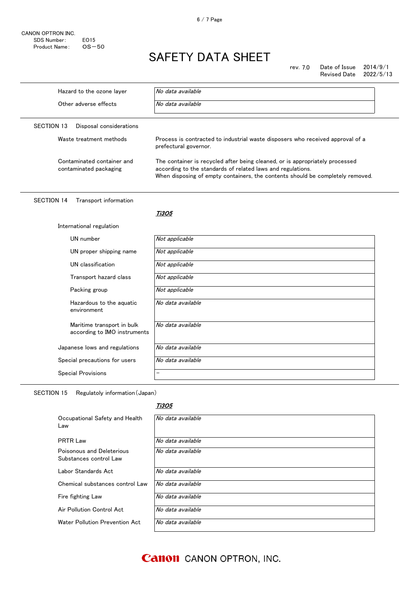CANON OPTRON INC. SDS Number: EO15<br>Product Name: OS-50 Product Name:

# SAFETY DATA SHEET

rev. 7.0 Date of Issue 2014/9/1<br>Revised Date 2022/5/13 Revised Date

| Hazard to the ozone layer                                  | No data available                                                                                                                                                                                                             |  |
|------------------------------------------------------------|-------------------------------------------------------------------------------------------------------------------------------------------------------------------------------------------------------------------------------|--|
| Other adverse effects                                      | No data available                                                                                                                                                                                                             |  |
| <b>SECTION 13</b><br>Disposal considerations               |                                                                                                                                                                                                                               |  |
| Waste treatment methods                                    | Process is contracted to industrial waste disposers who received approval of a<br>prefectural governor.                                                                                                                       |  |
| Contaminated container and<br>contaminated packaging       | The container is recycled after being cleaned, or is appropriately processed<br>according to the standards of related laws and regulations.<br>When disposing of empty containers, the contents should be completely removed. |  |
| <b>SECTION 14</b><br>Transport information                 |                                                                                                                                                                                                                               |  |
|                                                            | <i><b>Ti3O5</b></i>                                                                                                                                                                                                           |  |
| International regulation                                   |                                                                                                                                                                                                                               |  |
| UN number                                                  | Not applicable                                                                                                                                                                                                                |  |
| UN proper shipping name                                    | Not applicable                                                                                                                                                                                                                |  |
| UN classification                                          | Not applicable                                                                                                                                                                                                                |  |
| Transport hazard class                                     | Not applicable                                                                                                                                                                                                                |  |
| Packing group                                              | Not applicable                                                                                                                                                                                                                |  |
| Hazardous to the aquatic<br>environment                    | No data available                                                                                                                                                                                                             |  |
| Maritime transport in bulk<br>according to IMO instruments | No data available                                                                                                                                                                                                             |  |
| Japanese lows and regulations                              | No data available                                                                                                                                                                                                             |  |
| Special precautions for users                              | No data available                                                                                                                                                                                                             |  |
| <b>Special Provisions</b>                                  |                                                                                                                                                                                                                               |  |
|                                                            |                                                                                                                                                                                                                               |  |

SECTION 15 Regulatoly information(Japan)

#### Ti3O5

| Occupational Safety and Health<br>Law               | No data available |
|-----------------------------------------------------|-------------------|
| <b>PRTR Law</b>                                     | No data available |
| Poisonous and Deleterious<br>Substances control Law | No data available |
| Labor Standards Act                                 | No data available |
| Chemical substances control Law                     | No data available |
| Fire fighting Law                                   | No data available |
| Air Pollution Control Act                           | No data available |
| Water Pollution Prevention Act                      | No data available |